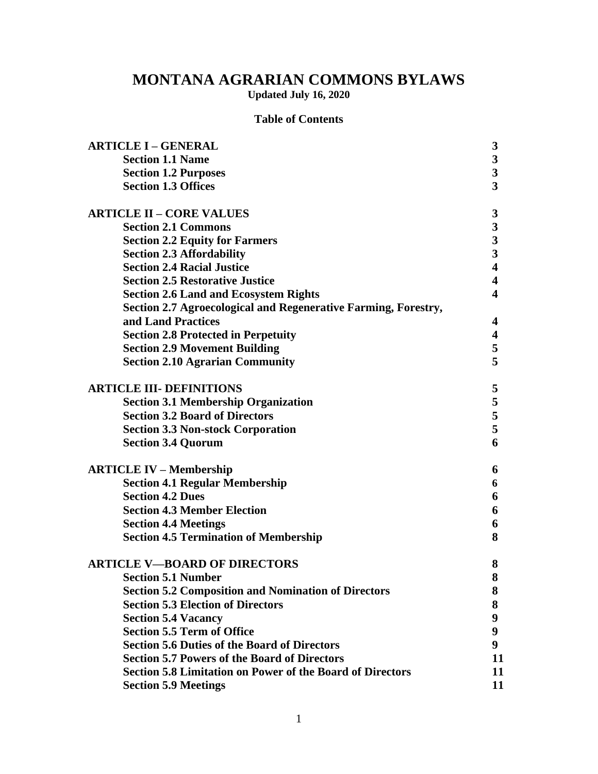# **MONTANA AGRARIAN COMMONS BYLAWS**

**Updated July 16, 2020**

# **Table of Contents**

| <b>ARTICLE I - GENERAL</b>                                       | $\boldsymbol{3}$        |
|------------------------------------------------------------------|-------------------------|
| <b>Section 1.1 Name</b>                                          | $\mathbf{3}$            |
| <b>Section 1.2 Purposes</b>                                      | $\mathbf{3}$            |
| <b>Section 1.3 Offices</b>                                       | $\overline{\mathbf{3}}$ |
| <b>ARTICLE II - CORE VALUES</b>                                  | $\boldsymbol{3}$        |
| <b>Section 2.1 Commons</b>                                       |                         |
| <b>Section 2.2 Equity for Farmers</b>                            | $\frac{3}{3}$           |
| <b>Section 2.3 Affordability</b>                                 | $\overline{\mathbf{3}}$ |
| <b>Section 2.4 Racial Justice</b>                                | $\overline{\mathbf{4}}$ |
| <b>Section 2.5 Restorative Justice</b>                           | $\overline{\mathbf{4}}$ |
| <b>Section 2.6 Land and Ecosystem Rights</b>                     | $\overline{\mathbf{4}}$ |
| Section 2.7 Agroecological and Regenerative Farming, Forestry,   |                         |
| and Land Practices                                               | 4                       |
| <b>Section 2.8 Protected in Perpetuity</b>                       | $\overline{\mathbf{4}}$ |
| <b>Section 2.9 Movement Building</b>                             | 5                       |
| <b>Section 2.10 Agrarian Community</b>                           | 5                       |
| <b>ARTICLE III- DEFINITIONS</b>                                  | 5                       |
| <b>Section 3.1 Membership Organization</b>                       | 5                       |
| <b>Section 3.2 Board of Directors</b>                            | 5                       |
| <b>Section 3.3 Non-stock Corporation</b>                         | 5                       |
| <b>Section 3.4 Quorum</b>                                        | 6                       |
| <b>ARTICLE IV – Membership</b>                                   | 6                       |
| <b>Section 4.1 Regular Membership</b>                            | 6                       |
| <b>Section 4.2 Dues</b>                                          | 6                       |
| <b>Section 4.3 Member Election</b>                               | 6                       |
| <b>Section 4.4 Meetings</b>                                      | 6                       |
| <b>Section 4.5 Termination of Membership</b>                     | 8                       |
| <b>ARTICLE V-BOARD OF DIRECTORS</b>                              | 8                       |
| <b>Section 5.1 Number</b>                                        | ${\bf 8}$               |
| <b>Section 5.2 Composition and Nomination of Directors</b>       | 8                       |
| <b>Section 5.3 Election of Directors</b>                         | 8                       |
| <b>Section 5.4 Vacancy</b>                                       | 9                       |
| <b>Section 5.5 Term of Office</b>                                | 9                       |
| <b>Section 5.6 Duties of the Board of Directors</b>              | 9                       |
| <b>Section 5.7 Powers of the Board of Directors</b>              | 11                      |
| <b>Section 5.8 Limitation on Power of the Board of Directors</b> | 11                      |
| <b>Section 5.9 Meetings</b>                                      | 11                      |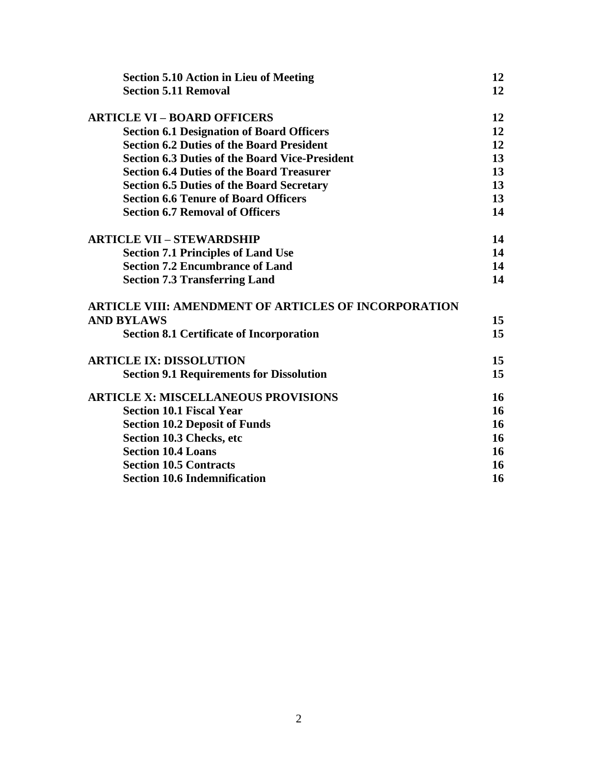| <b>Section 5.10 Action in Lieu of Meeting</b>               | 12 |
|-------------------------------------------------------------|----|
| <b>Section 5.11 Removal</b>                                 | 12 |
| <b>ARTICLE VI - BOARD OFFICERS</b>                          | 12 |
| <b>Section 6.1 Designation of Board Officers</b>            | 12 |
| <b>Section 6.2 Duties of the Board President</b>            | 12 |
| <b>Section 6.3 Duties of the Board Vice-President</b>       | 13 |
| <b>Section 6.4 Duties of the Board Treasurer</b>            | 13 |
| <b>Section 6.5 Duties of the Board Secretary</b>            | 13 |
| <b>Section 6.6 Tenure of Board Officers</b>                 | 13 |
| <b>Section 6.7 Removal of Officers</b>                      | 14 |
| <b>ARTICLE VII - STEWARDSHIP</b>                            | 14 |
| <b>Section 7.1 Principles of Land Use</b>                   | 14 |
| <b>Section 7.2 Encumbrance of Land</b>                      | 14 |
| <b>Section 7.3 Transferring Land</b>                        | 14 |
| <b>ARTICLE VIII: AMENDMENT OF ARTICLES OF INCORPORATION</b> |    |
| <b>AND BYLAWS</b>                                           | 15 |
| <b>Section 8.1 Certificate of Incorporation</b>             | 15 |
| <b>ARTICLE IX: DISSOLUTION</b>                              | 15 |
| <b>Section 9.1 Requirements for Dissolution</b>             | 15 |
| <b>ARTICLE X: MISCELLANEOUS PROVISIONS</b>                  | 16 |
| <b>Section 10.1 Fiscal Year</b>                             | 16 |
| <b>Section 10.2 Deposit of Funds</b>                        | 16 |
| Section 10.3 Checks, etc                                    | 16 |
| <b>Section 10.4 Loans</b>                                   | 16 |
| <b>Section 10.5 Contracts</b>                               | 16 |
| <b>Section 10.6 Indemnification</b>                         | 16 |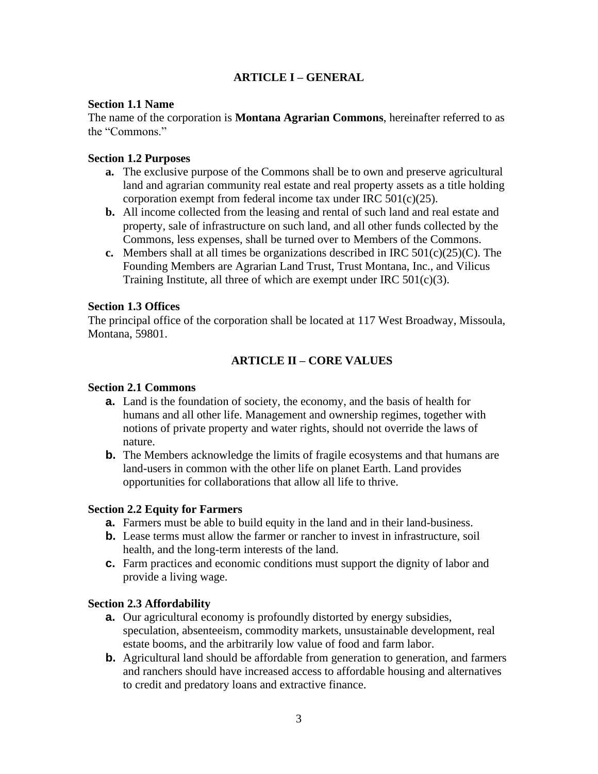# **ARTICLE I – GENERAL**

#### **Section 1.1 Name**

The name of the corporation is **Montana Agrarian Commons**, hereinafter referred to as the "Commons."

### **Section 1.2 Purposes**

- **a.** The exclusive purpose of the Commons shall be to own and preserve agricultural land and agrarian community real estate and real property assets as a title holding corporation exempt from federal income tax under IRC 501(c)(25).
- **b.** All income collected from the leasing and rental of such land and real estate and property, sale of infrastructure on such land, and all other funds collected by the Commons, less expenses, shall be turned over to Members of the Commons.
- **c.** Members shall at all times be organizations described in IRC 501(c)(25)(C). The Founding Members are Agrarian Land Trust, Trust Montana, Inc., and Vilicus Training Institute, all three of which are exempt under IRC  $501(c)(3)$ .

#### **Section 1.3 Offices**

The principal office of the corporation shall be located at 117 West Broadway, Missoula, Montana, 59801.

### **ARTICLE II – CORE VALUES**

#### **Section 2.1 Commons**

- **a.** Land is the foundation of society, the economy, and the basis of health for humans and all other life. Management and ownership regimes, together with notions of private property and water rights, should not override the laws of nature.
- **b.** The Members acknowledge the limits of fragile ecosystems and that humans are land-users in common with the other life on planet Earth. Land provides opportunities for collaborations that allow all life to thrive.

#### **Section 2.2 Equity for Farmers**

- **a.** Farmers must be able to build equity in the land and in their land-business.
- **b.** Lease terms must allow the farmer or rancher to invest in infrastructure, soil health, and the long-term interests of the land.
- **c.** Farm practices and economic conditions must support the dignity of labor and provide a living wage.

#### **Section 2.3 Affordability**

- **a.** Our agricultural economy is profoundly distorted by energy subsidies, speculation, absenteeism, commodity markets, unsustainable development, real estate booms, and the arbitrarily low value of food and farm labor.
- **b.** Agricultural land should be affordable from generation to generation, and farmers and ranchers should have increased access to affordable housing and alternatives to credit and predatory loans and extractive finance.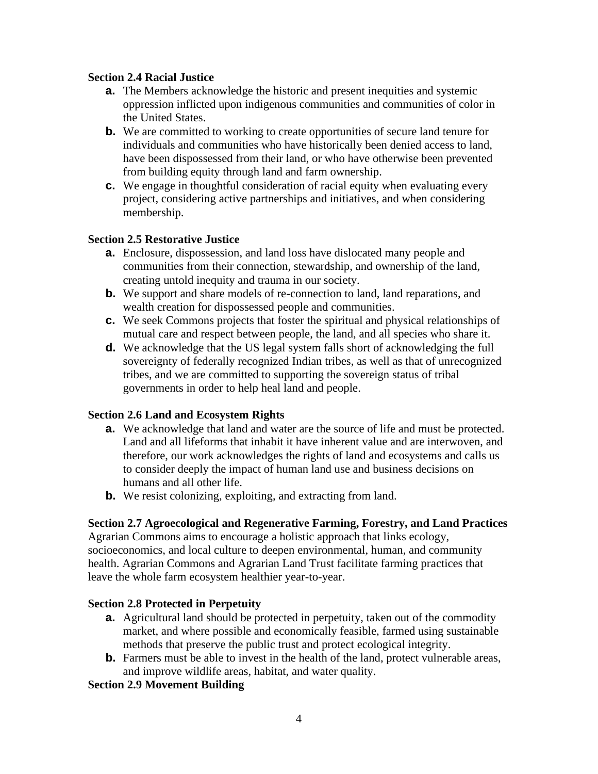### **Section 2.4 Racial Justice**

- **a.** The Members acknowledge the historic and present inequities and systemic oppression inflicted upon indigenous communities and communities of color in the United States.
- **b.** We are committed to working to create opportunities of secure land tenure for individuals and communities who have historically been denied access to land, have been dispossessed from their land, or who have otherwise been prevented from building equity through land and farm ownership.
- **c.** We engage in thoughtful consideration of racial equity when evaluating every project, considering active partnerships and initiatives, and when considering membership.

### **Section 2.5 Restorative Justice**

- **a.** Enclosure, dispossession, and land loss have dislocated many people and communities from their connection, stewardship, and ownership of the land, creating untold inequity and trauma in our society.
- **b.** We support and share models of re-connection to land, land reparations, and wealth creation for dispossessed people and communities.
- **c.** We seek Commons projects that foster the spiritual and physical relationships of mutual care and respect between people, the land, and all species who share it.
- **d.** We acknowledge that the US legal system falls short of acknowledging the full sovereignty of federally recognized Indian tribes, as well as that of unrecognized tribes, and we are committed to supporting the sovereign status of tribal governments in order to help heal land and people.

#### **Section 2.6 Land and Ecosystem Rights**

- **a.** We acknowledge that land and water are the source of life and must be protected. Land and all lifeforms that inhabit it have inherent value and are interwoven, and therefore, our work acknowledges the rights of land and ecosystems and calls us to consider deeply the impact of human land use and business decisions on humans and all other life.
- **b.** We resist colonizing, exploiting, and extracting from land.

### **Section 2.7 Agroecological and Regenerative Farming, Forestry, and Land Practices**

Agrarian Commons aims to encourage a holistic approach that links ecology, socioeconomics, and local culture to deepen environmental, human, and community health. Agrarian Commons and Agrarian Land Trust facilitate farming practices that leave the whole farm ecosystem healthier year-to-year.

#### **Section 2.8 Protected in Perpetuity**

- **a.** Agricultural land should be protected in perpetuity, taken out of the commodity market, and where possible and economically feasible, farmed using sustainable methods that preserve the public trust and protect ecological integrity.
- **b.** Farmers must be able to invest in the health of the land, protect vulnerable areas, and improve wildlife areas, habitat, and water quality.

### **Section 2.9 Movement Building**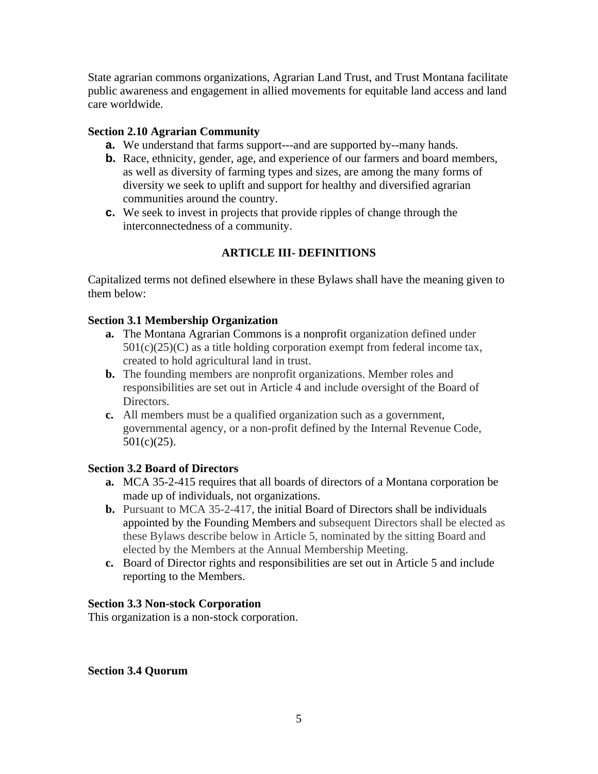State agrarian commons organizations, Agrarian Land Trust, and Trust Montana facilitate public awareness and engagement in allied movements for equitable land access and land care worldwide.

### **Section 2.10 Agrarian Community**

- **a.** We understand that farms support---and are supported by--many hands.
- **b.** Race, ethnicity, gender, age, and experience of our farmers and board members, as well as diversity of farming types and sizes, are among the many forms of diversity we seek to uplift and support for healthy and diversified agrarian communities around the country.
- **c.** We seek to invest in projects that provide ripples of change through the interconnectedness of a community.

# **ARTICLE III- DEFINITIONS**

Capitalized terms not defined elsewhere in these Bylaws shall have the meaning given to them below:

### **Section 3.1 Membership Organization**

- **a.** The Montana Agrarian Commons is a nonprofit organization defined under  $501(c)(25)(C)$  as a title holding corporation exempt from federal income tax, created to hold agricultural land in trust.
- **b.** The founding members are nonprofit organizations. Member roles and responsibilities are set out in Article 4 and include oversight of the Board of Directors.
- **c.** All members must be a qualified organization such as a government, governmental agency, or a non-profit defined by the Internal Revenue Code, 501(c)(25).

### **Section 3.2 Board of Directors**

- **a.** MCA 35-2-415 requires that all boards of directors of a Montana corporation be made up of individuals, not organizations.
- **b.** Pursuant to MCA 35-2-417, the initial Board of Directors shall be individuals appointed by the Founding Members and subsequent Directors shall be elected as these Bylaws describe below in Article 5, nominated by the sitting Board and elected by the Members at the Annual Membership Meeting.
- **c.** Board of Director rights and responsibilities are set out in Article 5 and include reporting to the Members.

### **Section 3.3 Non-stock Corporation**

This organization is a non-stock corporation.

### **Section 3.4 Quorum**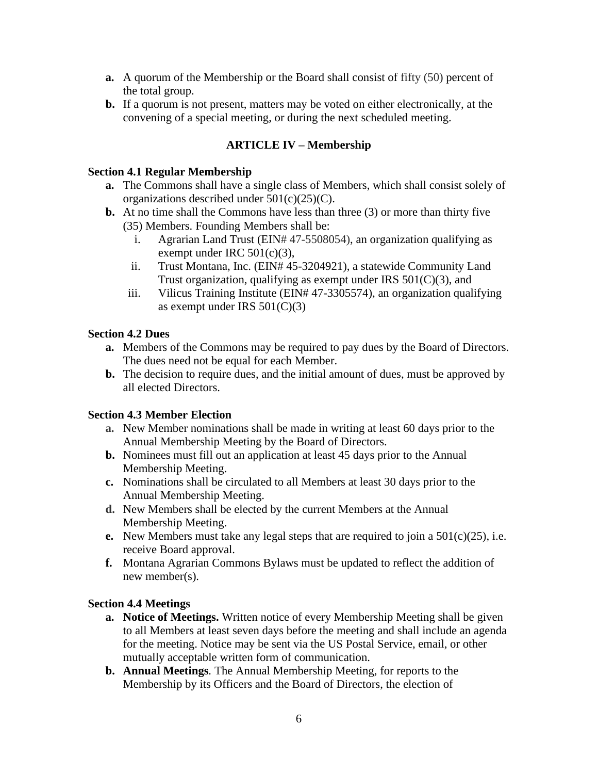- **a.** A quorum of the Membership or the Board shall consist of fifty (50) percent of the total group.
- **b.** If a quorum is not present, matters may be voted on either electronically, at the convening of a special meeting, or during the next scheduled meeting.

# **ARTICLE IV – Membership**

#### **Section 4.1 Regular Membership**

- **a.** The Commons shall have a single class of Members, which shall consist solely of organizations described under 501(c)(25)(C).
- **b.** At no time shall the Commons have less than three (3) or more than thirty five (35) Members. Founding Members shall be:
	- i. Agrarian Land Trust (EIN# 47-5508054), an organization qualifying as exempt under IRC 501(c)(3),
	- ii. Trust Montana, Inc. (EIN# 45-3204921), a statewide Community Land Trust organization, qualifying as exempt under IRS 501(C)(3), and
	- iii. Vilicus Training Institute (EIN# 47-3305574), an organization qualifying as exempt under IRS  $501(C)(3)$

#### **Section 4.2 Dues**

- **a.** Members of the Commons may be required to pay dues by the Board of Directors. The dues need not be equal for each Member.
- **b.** The decision to require dues, and the initial amount of dues, must be approved by all elected Directors.

#### **Section 4.3 Member Election**

- **a.** New Member nominations shall be made in writing at least 60 days prior to the Annual Membership Meeting by the Board of Directors.
- **b.** Nominees must fill out an application at least 45 days prior to the Annual Membership Meeting.
- **c.** Nominations shall be circulated to all Members at least 30 days prior to the Annual Membership Meeting.
- **d.** New Members shall be elected by the current Members at the Annual Membership Meeting.
- **e.** New Members must take any legal steps that are required to join a 501(c)(25), i.e. receive Board approval.
- **f.** Montana Agrarian Commons Bylaws must be updated to reflect the addition of new member(s).

#### **Section 4.4 Meetings**

- **a. Notice of Meetings.** Written notice of every Membership Meeting shall be given to all Members at least seven days before the meeting and shall include an agenda for the meeting. Notice may be sent via the US Postal Service, email, or other mutually acceptable written form of communication.
- **b. Annual Meetings***.* The Annual Membership Meeting, for reports to the Membership by its Officers and the Board of Directors, the election of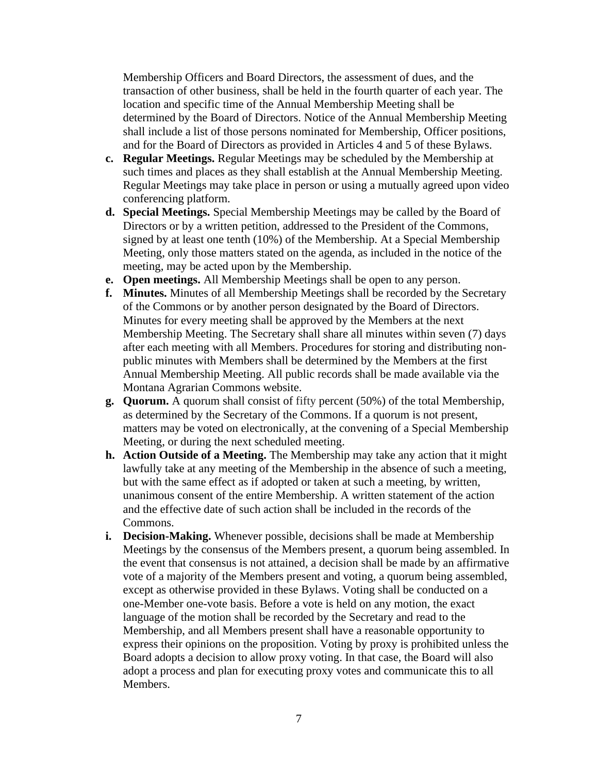Membership Officers and Board Directors, the assessment of dues, and the transaction of other business, shall be held in the fourth quarter of each year. The location and specific time of the Annual Membership Meeting shall be determined by the Board of Directors. Notice of the Annual Membership Meeting shall include a list of those persons nominated for Membership, Officer positions, and for the Board of Directors as provided in Articles 4 and 5 of these Bylaws.

- **c. Regular Meetings.** Regular Meetings may be scheduled by the Membership at such times and places as they shall establish at the Annual Membership Meeting. Regular Meetings may take place in person or using a mutually agreed upon video conferencing platform.
- **d. Special Meetings.** Special Membership Meetings may be called by the Board of Directors or by a written petition, addressed to the President of the Commons, signed by at least one tenth (10%) of the Membership. At a Special Membership Meeting, only those matters stated on the agenda, as included in the notice of the meeting, may be acted upon by the Membership.
- **e. Open meetings.** All Membership Meetings shall be open to any person.
- **f. Minutes.** Minutes of all Membership Meetings shall be recorded by the Secretary of the Commons or by another person designated by the Board of Directors. Minutes for every meeting shall be approved by the Members at the next Membership Meeting. The Secretary shall share all minutes within seven (7) days after each meeting with all Members. Procedures for storing and distributing nonpublic minutes with Members shall be determined by the Members at the first Annual Membership Meeting. All public records shall be made available via the Montana Agrarian Commons website.
- **g. Quorum.** A quorum shall consist of fifty percent (50%) of the total Membership, as determined by the Secretary of the Commons. If a quorum is not present, matters may be voted on electronically, at the convening of a Special Membership Meeting, or during the next scheduled meeting.
- **h. Action Outside of a Meeting.** The Membership may take any action that it might lawfully take at any meeting of the Membership in the absence of such a meeting, but with the same effect as if adopted or taken at such a meeting, by written, unanimous consent of the entire Membership. A written statement of the action and the effective date of such action shall be included in the records of the Commons.
- **i. Decision-Making.** Whenever possible, decisions shall be made at Membership Meetings by the consensus of the Members present, a quorum being assembled. In the event that consensus is not attained, a decision shall be made by an affirmative vote of a majority of the Members present and voting, a quorum being assembled, except as otherwise provided in these Bylaws. Voting shall be conducted on a one-Member one-vote basis. Before a vote is held on any motion, the exact language of the motion shall be recorded by the Secretary and read to the Membership, and all Members present shall have a reasonable opportunity to express their opinions on the proposition. Voting by proxy is prohibited unless the Board adopts a decision to allow proxy voting. In that case, the Board will also adopt a process and plan for executing proxy votes and communicate this to all Members.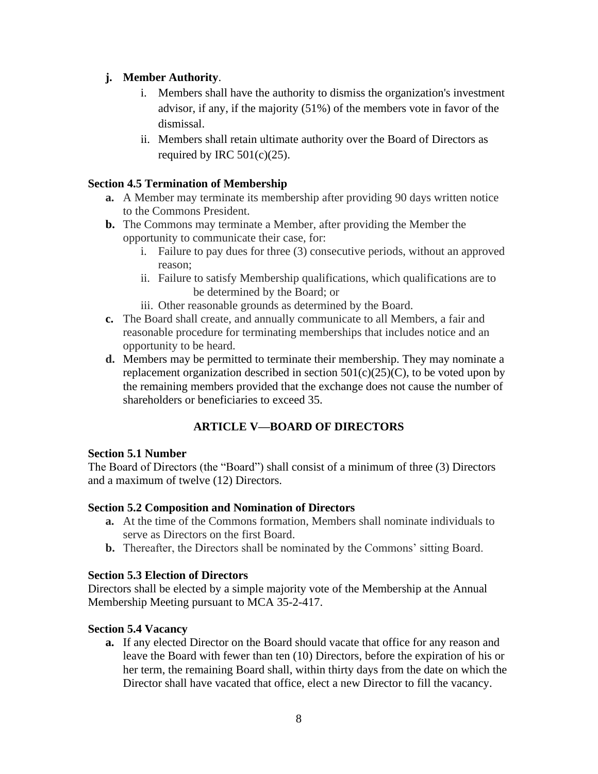### **j. Member Authority**.

- i. Members shall have the authority to dismiss the organization's investment advisor, if any, if the majority (51%) of the members vote in favor of the dismissal.
- ii. Members shall retain ultimate authority over the Board of Directors as required by IRC  $501(c)(25)$ .

# **Section 4.5 Termination of Membership**

- **a.** A Member may terminate its membership after providing 90 days written notice to the Commons President.
- **b.** The Commons may terminate a Member, after providing the Member the opportunity to communicate their case, for:
	- i. Failure to pay dues for three (3) consecutive periods, without an approved reason;
	- ii. Failure to satisfy Membership qualifications, which qualifications are to be determined by the Board; or
	- iii. Other reasonable grounds as determined by the Board.
- **c.** The Board shall create, and annually communicate to all Members, a fair and reasonable procedure for terminating memberships that includes notice and an opportunity to be heard.
- **d.** Members may be permitted to terminate their membership. They may nominate a replacement organization described in section  $501(c)(25)(C)$ , to be voted upon by the remaining members provided that the exchange does not cause the number of shareholders or beneficiaries to exceed 35.

# **ARTICLE V—BOARD OF DIRECTORS**

### **Section 5.1 Number**

The Board of Directors (the "Board") shall consist of a minimum of three (3) Directors and a maximum of twelve (12) Directors.

### **Section 5.2 Composition and Nomination of Directors**

- **a.** At the time of the Commons formation, Members shall nominate individuals to serve as Directors on the first Board.
- **b.** Thereafter, the Directors shall be nominated by the Commons' sitting Board.

### **Section 5.3 Election of Directors**

Directors shall be elected by a simple majority vote of the Membership at the Annual Membership Meeting pursuant to MCA 35-2-417.

### **Section 5.4 Vacancy**

**a.** If any elected Director on the Board should vacate that office for any reason and leave the Board with fewer than ten (10) Directors, before the expiration of his or her term, the remaining Board shall, within thirty days from the date on which the Director shall have vacated that office, elect a new Director to fill the vacancy.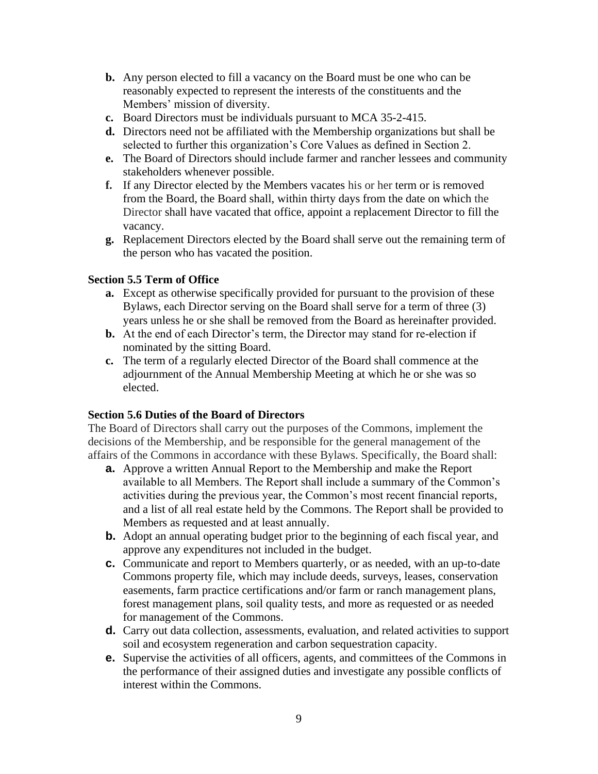- **b.** Any person elected to fill a vacancy on the Board must be one who can be reasonably expected to represent the interests of the constituents and the Members' mission of diversity.
- **c.** Board Directors must be individuals pursuant to MCA 35-2-415.
- **d.** Directors need not be affiliated with the Membership organizations but shall be selected to further this organization's Core Values as defined in Section 2.
- **e.** The Board of Directors should include farmer and rancher lessees and community stakeholders whenever possible.
- **f.** If any Director elected by the Members vacates his or her term or is removed from the Board, the Board shall, within thirty days from the date on which the Director shall have vacated that office, appoint a replacement Director to fill the vacancy.
- **g.** Replacement Directors elected by the Board shall serve out the remaining term of the person who has vacated the position.

### **Section 5.5 Term of Office**

- **a.** Except as otherwise specifically provided for pursuant to the provision of these Bylaws, each Director serving on the Board shall serve for a term of three (3) years unless he or she shall be removed from the Board as hereinafter provided.
- **b.** At the end of each Director's term, the Director may stand for re-election if nominated by the sitting Board.
- **c.** The term of a regularly elected Director of the Board shall commence at the adjournment of the Annual Membership Meeting at which he or she was so elected.

#### **Section 5.6 Duties of the Board of Directors**

The Board of Directors shall carry out the purposes of the Commons, implement the decisions of the Membership, and be responsible for the general management of the affairs of the Commons in accordance with these Bylaws. Specifically, the Board shall:

- **a.** Approve a written Annual Report to the Membership and make the Report available to all Members. The Report shall include a summary of the Common's activities during the previous year, the Common's most recent financial reports, and a list of all real estate held by the Commons. The Report shall be provided to Members as requested and at least annually.
- **b.** Adopt an annual operating budget prior to the beginning of each fiscal year, and approve any expenditures not included in the budget.
- **c.** Communicate and report to Members quarterly, or as needed, with an up-to-date Commons property file, which may include deeds, surveys, leases, conservation easements, farm practice certifications and/or farm or ranch management plans, forest management plans, soil quality tests, and more as requested or as needed for management of the Commons.
- **d.** Carry out data collection, assessments, evaluation, and related activities to support soil and ecosystem regeneration and carbon sequestration capacity.
- **e.** Supervise the activities of all officers, agents, and committees of the Commons in the performance of their assigned duties and investigate any possible conflicts of interest within the Commons.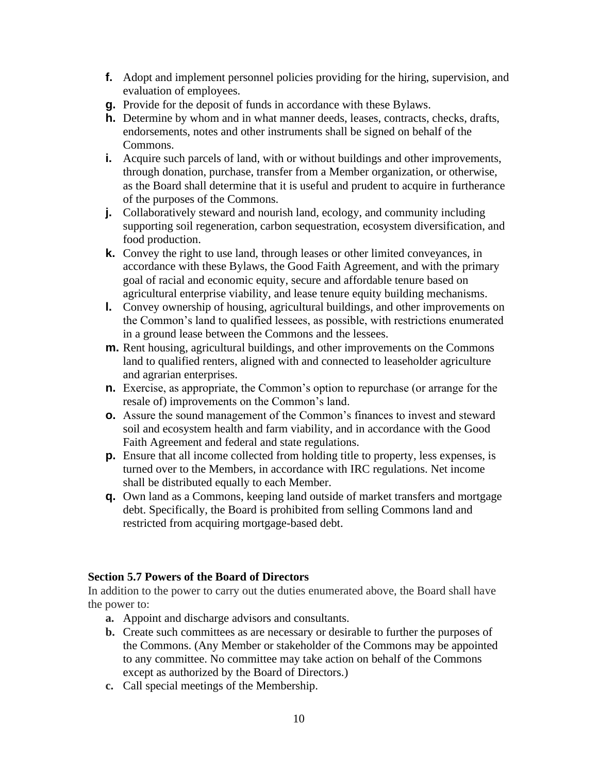- **f.** Adopt and implement personnel policies providing for the hiring, supervision, and evaluation of employees.
- **g.** Provide for the deposit of funds in accordance with these Bylaws.
- **h.** Determine by whom and in what manner deeds, leases, contracts, checks, drafts, endorsements, notes and other instruments shall be signed on behalf of the Commons.
- **i.** Acquire such parcels of land, with or without buildings and other improvements, through donation, purchase, transfer from a Member organization, or otherwise, as the Board shall determine that it is useful and prudent to acquire in furtherance of the purposes of the Commons.
- **j.** Collaboratively steward and nourish land, ecology, and community including supporting soil regeneration, carbon sequestration, ecosystem diversification, and food production.
- **k.** Convey the right to use land, through leases or other limited conveyances, in accordance with these Bylaws, the Good Faith Agreement, and with the primary goal of racial and economic equity, secure and affordable tenure based on agricultural enterprise viability, and lease tenure equity building mechanisms.
- **l.** Convey ownership of housing, agricultural buildings, and other improvements on the Common's land to qualified lessees, as possible, with restrictions enumerated in a ground lease between the Commons and the lessees.
- **m.** Rent housing, agricultural buildings, and other improvements on the Commons land to qualified renters, aligned with and connected to leaseholder agriculture and agrarian enterprises.
- **n.** Exercise, as appropriate, the Common's option to repurchase (or arrange for the resale of) improvements on the Common's land.
- **o.** Assure the sound management of the Common's finances to invest and steward soil and ecosystem health and farm viability, and in accordance with the Good Faith Agreement and federal and state regulations.
- **p.** Ensure that all income collected from holding title to property, less expenses, is turned over to the Members, in accordance with IRC regulations. Net income shall be distributed equally to each Member.
- **q.** Own land as a Commons, keeping land outside of market transfers and mortgage debt. Specifically, the Board is prohibited from selling Commons land and restricted from acquiring mortgage-based debt.

### **Section 5.7 Powers of the Board of Directors**

In addition to the power to carry out the duties enumerated above, the Board shall have the power to:

- **a.** Appoint and discharge advisors and consultants.
- **b.** Create such committees as are necessary or desirable to further the purposes of the Commons. (Any Member or stakeholder of the Commons may be appointed to any committee. No committee may take action on behalf of the Commons except as authorized by the Board of Directors.)
- **c.** Call special meetings of the Membership.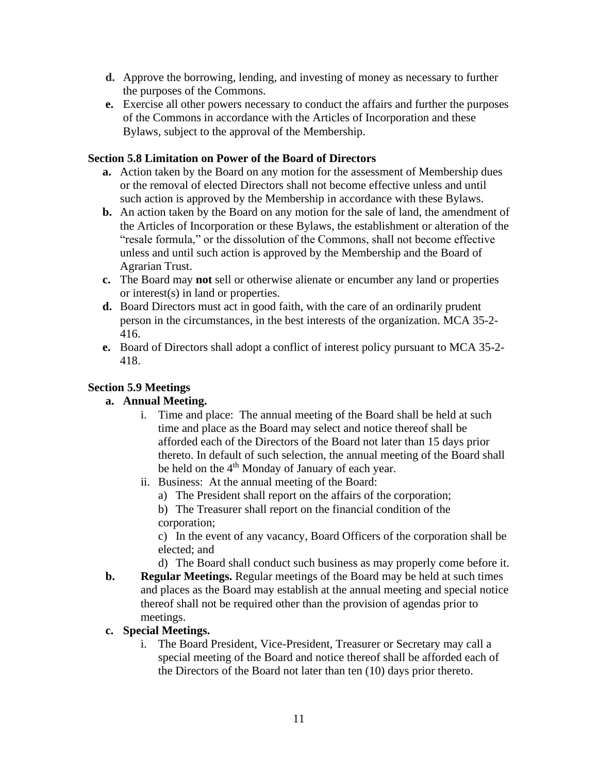- **d.** Approve the borrowing, lending, and investing of money as necessary to further the purposes of the Commons.
- **e.** Exercise all other powers necessary to conduct the affairs and further the purposes of the Commons in accordance with the Articles of Incorporation and these Bylaws, subject to the approval of the Membership.

### **Section 5.8 Limitation on Power of the Board of Directors**

- **a.** Action taken by the Board on any motion for the assessment of Membership dues or the removal of elected Directors shall not become effective unless and until such action is approved by the Membership in accordance with these Bylaws.
- **b.** An action taken by the Board on any motion for the sale of land, the amendment of the Articles of Incorporation or these Bylaws, the establishment or alteration of the "resale formula," or the dissolution of the Commons, shall not become effective unless and until such action is approved by the Membership and the Board of Agrarian Trust.
- **c.** The Board may **not** sell or otherwise alienate or encumber any land or properties or interest(s) in land or properties.
- **d.** Board Directors must act in good faith, with the care of an ordinarily prudent person in the circumstances, in the best interests of the organization. MCA 35-2- 416.
- **e.** Board of Directors shall adopt a conflict of interest policy pursuant to MCA 35-2- 418.

### **Section 5.9 Meetings**

### **a. Annual Meeting.**

- i. Time and place: The annual meeting of the Board shall be held at such time and place as the Board may select and notice thereof shall be afforded each of the Directors of the Board not later than 15 days prior thereto. In default of such selection, the annual meeting of the Board shall be held on the 4<sup>th</sup> Monday of January of each year.
- ii. Business: At the annual meeting of the Board:
	- a) The President shall report on the affairs of the corporation;
	- b) The Treasurer shall report on the financial condition of the corporation;

c) In the event of any vacancy, Board Officers of the corporation shall be elected; and

d) The Board shall conduct such business as may properly come before it.

**b. Regular Meetings.** Regular meetings of the Board may be held at such times and places as the Board may establish at the annual meeting and special notice thereof shall not be required other than the provision of agendas prior to meetings.

### **c. Special Meetings.**

i. The Board President, Vice-President, Treasurer or Secretary may call a special meeting of the Board and notice thereof shall be afforded each of the Directors of the Board not later than ten (10) days prior thereto.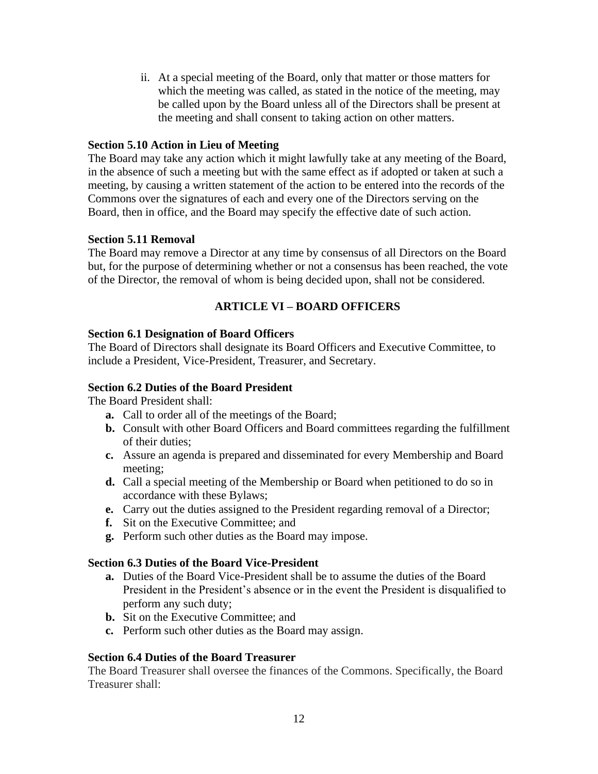ii. At a special meeting of the Board, only that matter or those matters for which the meeting was called, as stated in the notice of the meeting, may be called upon by the Board unless all of the Directors shall be present at the meeting and shall consent to taking action on other matters.

### **Section 5.10 Action in Lieu of Meeting**

The Board may take any action which it might lawfully take at any meeting of the Board, in the absence of such a meeting but with the same effect as if adopted or taken at such a meeting, by causing a written statement of the action to be entered into the records of the Commons over the signatures of each and every one of the Directors serving on the Board, then in office, and the Board may specify the effective date of such action.

### **Section 5.11 Removal**

The Board may remove a Director at any time by consensus of all Directors on the Board but, for the purpose of determining whether or not a consensus has been reached, the vote of the Director, the removal of whom is being decided upon, shall not be considered.

### **ARTICLE VI – BOARD OFFICERS**

#### **Section 6.1 Designation of Board Officers**

The Board of Directors shall designate its Board Officers and Executive Committee, to include a President, Vice-President, Treasurer, and Secretary.

### **Section 6.2 Duties of the Board President**

The Board President shall:

- **a.** Call to order all of the meetings of the Board;
- **b.** Consult with other Board Officers and Board committees regarding the fulfillment of their duties;
- **c.** Assure an agenda is prepared and disseminated for every Membership and Board meeting;
- **d.** Call a special meeting of the Membership or Board when petitioned to do so in accordance with these Bylaws;
- **e.** Carry out the duties assigned to the President regarding removal of a Director;
- **f.** Sit on the Executive Committee; and
- **g.** Perform such other duties as the Board may impose.

#### **Section 6.3 Duties of the Board Vice-President**

- **a.** Duties of the Board Vice-President shall be to assume the duties of the Board President in the President's absence or in the event the President is disqualified to perform any such duty;
- **b.** Sit on the Executive Committee; and
- **c.** Perform such other duties as the Board may assign.

#### **Section 6.4 Duties of the Board Treasurer**

The Board Treasurer shall oversee the finances of the Commons. Specifically, the Board Treasurer shall: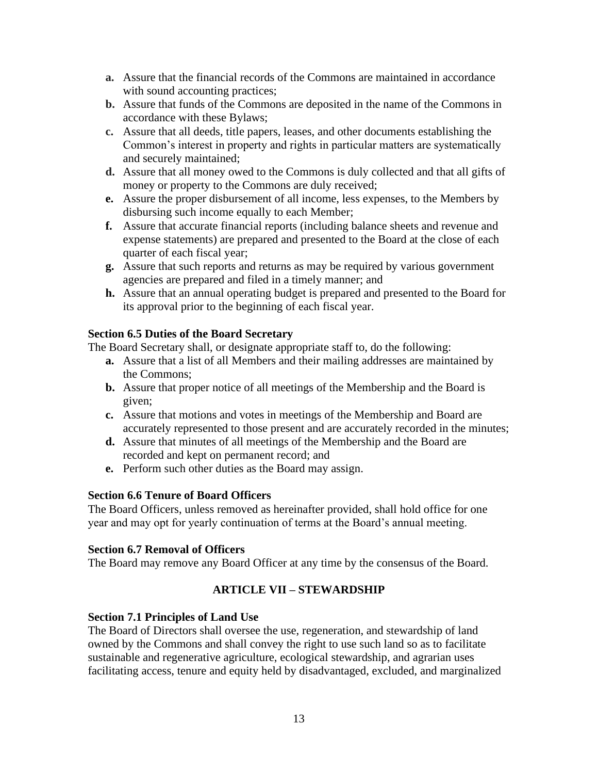- **a.** Assure that the financial records of the Commons are maintained in accordance with sound accounting practices;
- **b.** Assure that funds of the Commons are deposited in the name of the Commons in accordance with these Bylaws;
- **c.** Assure that all deeds, title papers, leases, and other documents establishing the Common's interest in property and rights in particular matters are systematically and securely maintained;
- **d.** Assure that all money owed to the Commons is duly collected and that all gifts of money or property to the Commons are duly received;
- **e.** Assure the proper disbursement of all income, less expenses, to the Members by disbursing such income equally to each Member;
- **f.** Assure that accurate financial reports (including balance sheets and revenue and expense statements) are prepared and presented to the Board at the close of each quarter of each fiscal year;
- **g.** Assure that such reports and returns as may be required by various government agencies are prepared and filed in a timely manner; and
- **h.** Assure that an annual operating budget is prepared and presented to the Board for its approval prior to the beginning of each fiscal year.

### **Section 6.5 Duties of the Board Secretary**

The Board Secretary shall, or designate appropriate staff to, do the following:

- **a.** Assure that a list of all Members and their mailing addresses are maintained by the Commons;
- **b.** Assure that proper notice of all meetings of the Membership and the Board is given;
- **c.** Assure that motions and votes in meetings of the Membership and Board are accurately represented to those present and are accurately recorded in the minutes;
- **d.** Assure that minutes of all meetings of the Membership and the Board are recorded and kept on permanent record; and
- **e.** Perform such other duties as the Board may assign.

#### **Section 6.6 Tenure of Board Officers**

The Board Officers, unless removed as hereinafter provided, shall hold office for one year and may opt for yearly continuation of terms at the Board's annual meeting.

#### **Section 6.7 Removal of Officers**

The Board may remove any Board Officer at any time by the consensus of the Board.

### **ARTICLE VII – STEWARDSHIP**

#### **Section 7.1 Principles of Land Use**

The Board of Directors shall oversee the use, regeneration, and stewardship of land owned by the Commons and shall convey the right to use such land so as to facilitate sustainable and regenerative agriculture, ecological stewardship, and agrarian uses facilitating access, tenure and equity held by disadvantaged, excluded, and marginalized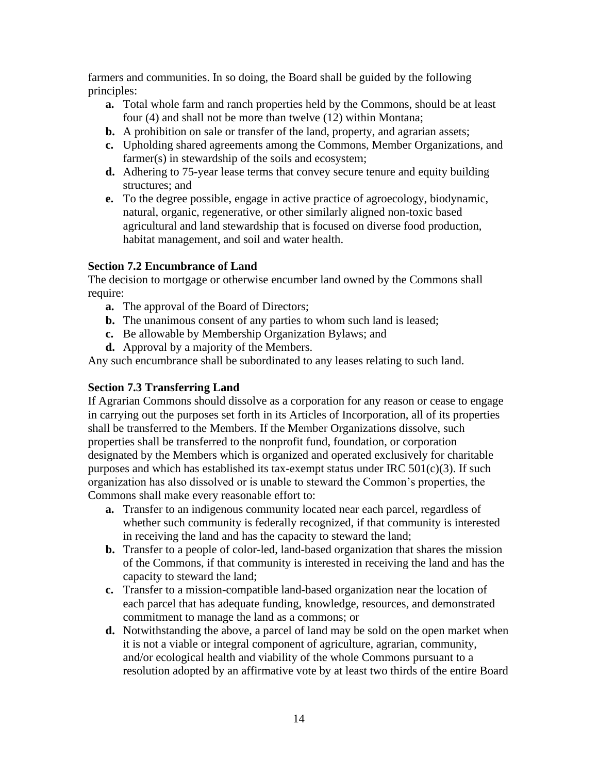farmers and communities. In so doing, the Board shall be guided by the following principles:

- **a.** Total whole farm and ranch properties held by the Commons, should be at least four (4) and shall not be more than twelve (12) within Montana;
- **b.** A prohibition on sale or transfer of the land, property, and agrarian assets;
- **c.** Upholding shared agreements among the Commons, Member Organizations, and farmer(s) in stewardship of the soils and ecosystem;
- **d.** Adhering to 75-year lease terms that convey secure tenure and equity building structures; and
- **e.** To the degree possible, engage in active practice of agroecology, biodynamic, natural, organic, regenerative, or other similarly aligned non-toxic based agricultural and land stewardship that is focused on diverse food production, habitat management, and soil and water health.

# **Section 7.2 Encumbrance of Land**

The decision to mortgage or otherwise encumber land owned by the Commons shall require:

- **a.** The approval of the Board of Directors;
- **b.** The unanimous consent of any parties to whom such land is leased;
- **c.** Be allowable by Membership Organization Bylaws; and
- **d.** Approval by a majority of the Members.

Any such encumbrance shall be subordinated to any leases relating to such land.

# **Section 7.3 Transferring Land**

If Agrarian Commons should dissolve as a corporation for any reason or cease to engage in carrying out the purposes set forth in its Articles of Incorporation, all of its properties shall be transferred to the Members. If the Member Organizations dissolve, such properties shall be transferred to the nonprofit fund, foundation, or corporation designated by the Members which is organized and operated exclusively for charitable purposes and which has established its tax-exempt status under IRC  $501(c)(3)$ . If such organization has also dissolved or is unable to steward the Common's properties, the Commons shall make every reasonable effort to:

- **a.** Transfer to an indigenous community located near each parcel, regardless of whether such community is federally recognized, if that community is interested in receiving the land and has the capacity to steward the land;
- **b.** Transfer to a people of color-led, land-based organization that shares the mission of the Commons, if that community is interested in receiving the land and has the capacity to steward the land;
- **c.** Transfer to a mission-compatible land-based organization near the location of each parcel that has adequate funding, knowledge, resources, and demonstrated commitment to manage the land as a commons; or
- **d.** Notwithstanding the above, a parcel of land may be sold on the open market when it is not a viable or integral component of agriculture, agrarian, community, and/or ecological health and viability of the whole Commons pursuant to a resolution adopted by an affirmative vote by at least two thirds of the entire Board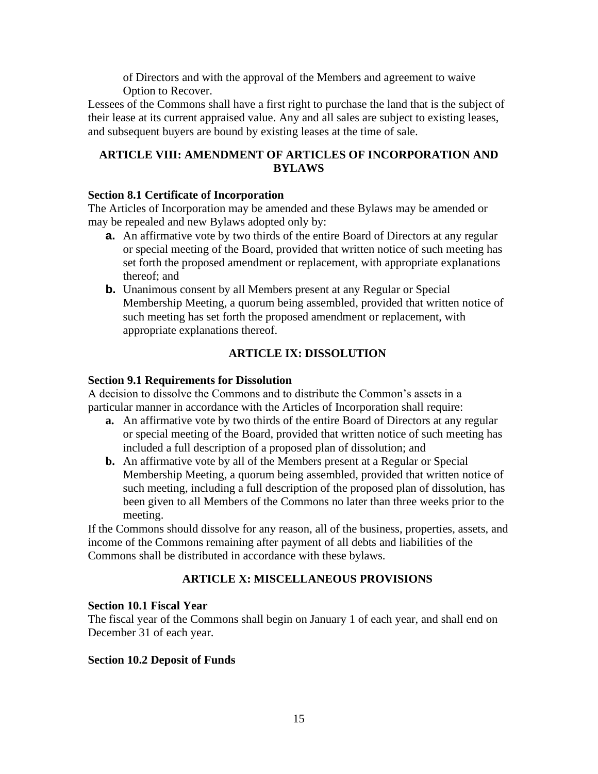of Directors and with the approval of the Members and agreement to waive Option to Recover.

Lessees of the Commons shall have a first right to purchase the land that is the subject of their lease at its current appraised value. Any and all sales are subject to existing leases, and subsequent buyers are bound by existing leases at the time of sale.

### **ARTICLE VIII: AMENDMENT OF ARTICLES OF INCORPORATION AND BYLAWS**

#### **Section 8.1 Certificate of Incorporation**

The Articles of Incorporation may be amended and these Bylaws may be amended or may be repealed and new Bylaws adopted only by:

- **a.** An affirmative vote by two thirds of the entire Board of Directors at any regular or special meeting of the Board, provided that written notice of such meeting has set forth the proposed amendment or replacement, with appropriate explanations thereof; and
- **b.** Unanimous consent by all Members present at any Regular or Special Membership Meeting, a quorum being assembled, provided that written notice of such meeting has set forth the proposed amendment or replacement, with appropriate explanations thereof.

### **ARTICLE IX: DISSOLUTION**

#### **Section 9.1 Requirements for Dissolution**

A decision to dissolve the Commons and to distribute the Common's assets in a particular manner in accordance with the Articles of Incorporation shall require:

- **a.** An affirmative vote by two thirds of the entire Board of Directors at any regular or special meeting of the Board, provided that written notice of such meeting has included a full description of a proposed plan of dissolution; and
- **b.** An affirmative vote by all of the Members present at a Regular or Special Membership Meeting, a quorum being assembled, provided that written notice of such meeting, including a full description of the proposed plan of dissolution, has been given to all Members of the Commons no later than three weeks prior to the meeting.

If the Commons should dissolve for any reason, all of the business, properties, assets, and income of the Commons remaining after payment of all debts and liabilities of the Commons shall be distributed in accordance with these bylaws.

#### **ARTICLE X: MISCELLANEOUS PROVISIONS**

#### **Section 10.1 Fiscal Year**

The fiscal year of the Commons shall begin on January 1 of each year, and shall end on December 31 of each year.

#### **Section 10.2 Deposit of Funds**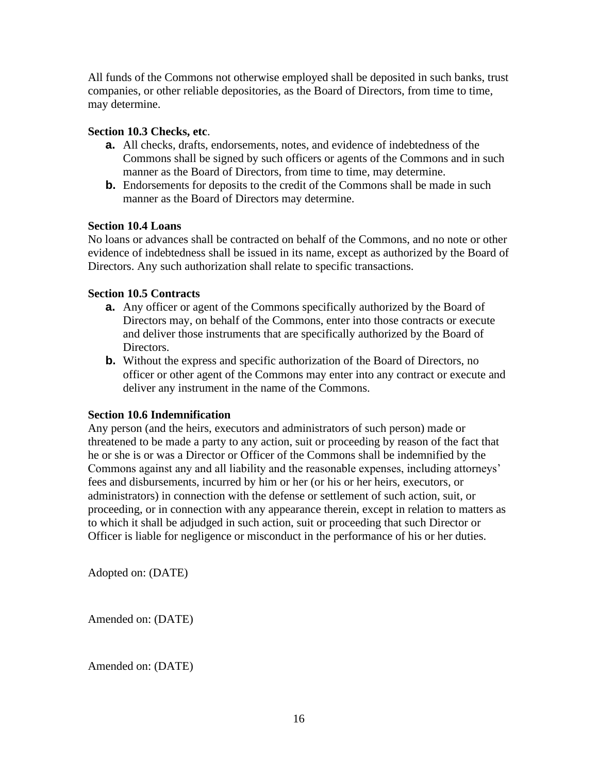All funds of the Commons not otherwise employed shall be deposited in such banks, trust companies, or other reliable depositories, as the Board of Directors, from time to time, may determine.

### **Section 10.3 Checks, etc**.

- **a.** All checks, drafts, endorsements, notes, and evidence of indebtedness of the Commons shall be signed by such officers or agents of the Commons and in such manner as the Board of Directors, from time to time, may determine.
- **b.** Endorsements for deposits to the credit of the Commons shall be made in such manner as the Board of Directors may determine.

#### **Section 10.4 Loans**

No loans or advances shall be contracted on behalf of the Commons, and no note or other evidence of indebtedness shall be issued in its name, except as authorized by the Board of Directors. Any such authorization shall relate to specific transactions.

### **Section 10.5 Contracts**

- **a.** Any officer or agent of the Commons specifically authorized by the Board of Directors may, on behalf of the Commons, enter into those contracts or execute and deliver those instruments that are specifically authorized by the Board of Directors.
- **b.** Without the express and specific authorization of the Board of Directors, no officer or other agent of the Commons may enter into any contract or execute and deliver any instrument in the name of the Commons.

#### **Section 10.6 Indemnification**

Any person (and the heirs, executors and administrators of such person) made or threatened to be made a party to any action, suit or proceeding by reason of the fact that he or she is or was a Director or Officer of the Commons shall be indemnified by the Commons against any and all liability and the reasonable expenses, including attorneys' fees and disbursements, incurred by him or her (or his or her heirs, executors, or administrators) in connection with the defense or settlement of such action, suit, or proceeding, or in connection with any appearance therein, except in relation to matters as to which it shall be adjudged in such action, suit or proceeding that such Director or Officer is liable for negligence or misconduct in the performance of his or her duties.

Adopted on: (DATE)

Amended on: (DATE)

Amended on: (DATE)